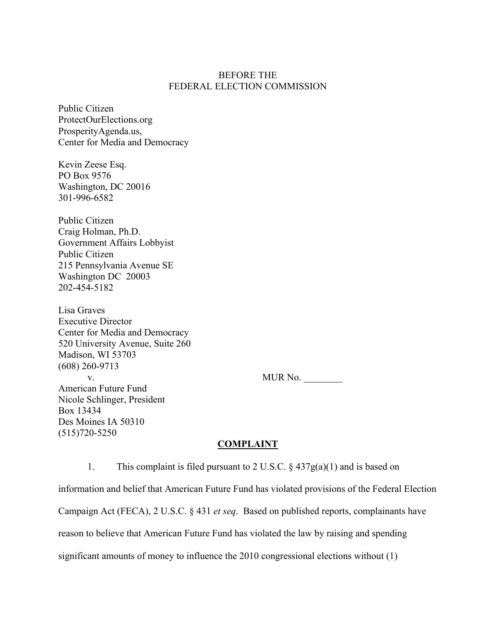### BEFORE THE FEDERAL ELECTION COMMISSION

Public Citizen ProtectOurElections.org ProsperityAgenda.us, Center for Media and Democracy

Kevin Zeese Esq. PO Box 9576 Washington, DC 20016 301-996-6582

Public Citizen Craig Holman, Ph.D. Government Affairs Lobbyist Public Citizen 215 Pennsylvania Avenue SE Washington DC 20003 202-454-5182

Lisa Graves Executive Director Center for Media and Democracy 520 University Avenue, Suite 260 Madison, WI 53703 (608) 260-9713 v. MUR No. \_\_\_\_\_\_\_\_ American Future Fund Nicole Schlinger, President Box 13434 Des Moines IA 50310 (515)720-5250

### **COMPLAINT**

1. This complaint is filed pursuant to 2 U.S.C.  $\S$  437g(a)(1) and is based on information and belief that American Future Fund has violated provisions of the Federal Election Campaign Act (FECA), 2 U.S.C. § 431 *et seq*. Based on published reports, complainants have reason to believe that American Future Fund has violated the law by raising and spending significant amounts of money to influence the 2010 congressional elections without (1)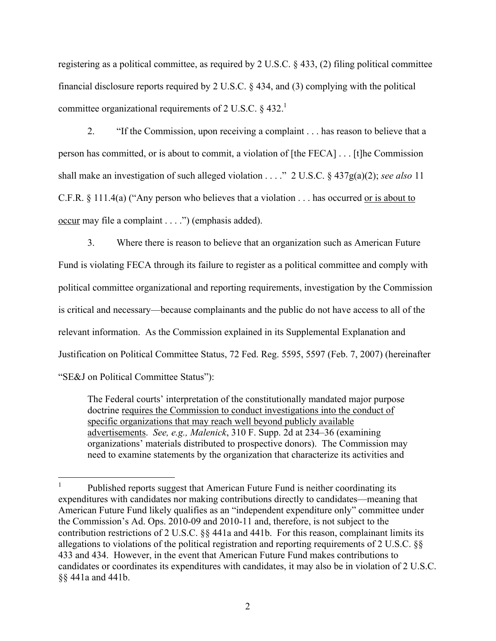registering as a political committee, as required by 2 U.S.C. § 433, (2) filing political committee financial disclosure reports required by 2 U.S.C. § 434, and (3) complying with the political committee organizational requirements of 2 U.S.C.  $\&$  432.<sup>1</sup>

2. "If the Commission, upon receiving a complaint . . . has reason to believe that a person has committed, or is about to commit, a violation of [the FECA] . . . [t]he Commission shall make an investigation of such alleged violation . . . ." 2 U.S.C. § 437g(a)(2); *see also* 11 C.F.R. § 111.4(a) ("Any person who believes that a violation . . . has occurred or is about to occur may file a complaint . . . .") (emphasis added).

3. Where there is reason to believe that an organization such as American Future Fund is violating FECA through its failure to register as a political committee and comply with political committee organizational and reporting requirements, investigation by the Commission is critical and necessary—because complainants and the public do not have access to all of the relevant information. As the Commission explained in its Supplemental Explanation and Justification on Political Committee Status, 72 Fed. Reg. 5595, 5597 (Feb. 7, 2007) (hereinafter "SE&J on Political Committee Status"):

The Federal courts' interpretation of the constitutionally mandated major purpose doctrine requires the Commission to conduct investigations into the conduct of specific organizations that may reach well beyond publicly available advertisements. *See, e.g., Malenick*, 310 F. Supp. 2d at 234–36 (examining organizations' materials distributed to prospective donors). The Commission may need to examine statements by the organization that characterize its activities and

<sup>&</sup>lt;sup>1</sup> Published reports suggest that American Future Fund is neither coordinating its expenditures with candidates nor making contributions directly to candidates—meaning that American Future Fund likely qualifies as an "independent expenditure only" committee under the Commission's Ad. Ops. 2010-09 and 2010-11 and, therefore, is not subject to the contribution restrictions of 2 U.S.C. §§ 441a and 441b. For this reason, complainant limits its allegations to violations of the political registration and reporting requirements of 2 U.S.C. §§ 433 and 434. However, in the event that American Future Fund makes contributions to candidates or coordinates its expenditures with candidates, it may also be in violation of 2 U.S.C. §§ 441a and 441b.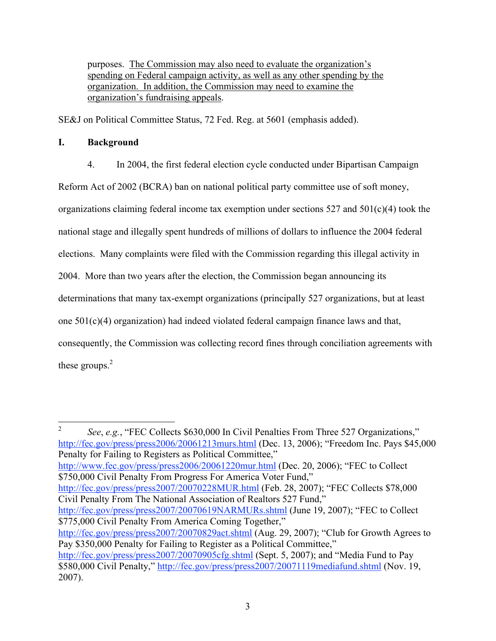purposes. The Commission may also need to evaluate the organization's spending on Federal campaign activity, as well as any other spending by the organization. In addition, the Commission may need to examine the organization's fundraising appeals.

SE&J on Political Committee Status, 72 Fed. Reg. at 5601 (emphasis added).

## **I. Background**

4. In 2004, the first federal election cycle conducted under Bipartisan Campaign

Reform Act of 2002 (BCRA) ban on national political party committee use of soft money, organizations claiming federal income tax exemption under sections  $527$  and  $501(c)(4)$  took the national stage and illegally spent hundreds of millions of dollars to influence the 2004 federal elections. Many complaints were filed with the Commission regarding this illegal activity in 2004. More than two years after the election, the Commission began announcing its determinations that many tax-exempt organizations (principally 527 organizations, but at least one 501(c)(4) organization) had indeed violated federal campaign finance laws and that, consequently, the Commission was collecting record fines through conciliation agreements with these groups. $2$ 

<sup>2</sup> *See*, *e.g.*, "FEC Collects \$630,000 In Civil Penalties From Three 527 Organizations," http://fec.gov/press/press2006/20061213murs.html (Dec. 13, 2006); "Freedom Inc. Pays \$45,000 Penalty for Failing to Registers as Political Committee," http://www.fec.gov/press/press2006/20061220mur.html (Dec. 20, 2006); "FEC to Collect \$750,000 Civil Penalty From Progress For America Voter Fund," http://fec.gov/press/press2007/20070228MUR.html (Feb. 28, 2007); "FEC Collects \$78,000 Civil Penalty From The National Association of Realtors 527 Fund," http://fec.gov/press/press2007/20070619NARMURs.shtml (June 19, 2007); "FEC to Collect \$775,000 Civil Penalty From America Coming Together," http://fec.gov/press/press2007/20070829act.shtml (Aug. 29, 2007); "Club for Growth Agrees to Pay \$350,000 Penalty for Failing to Register as a Political Committee," http://fec.gov/press/press2007/20070905cfg.shtml (Sept. 5, 2007); and "Media Fund to Pay \$580,000 Civil Penalty," http://fec.gov/press/press2007/20071119mediafund.shtml (Nov. 19, 2007).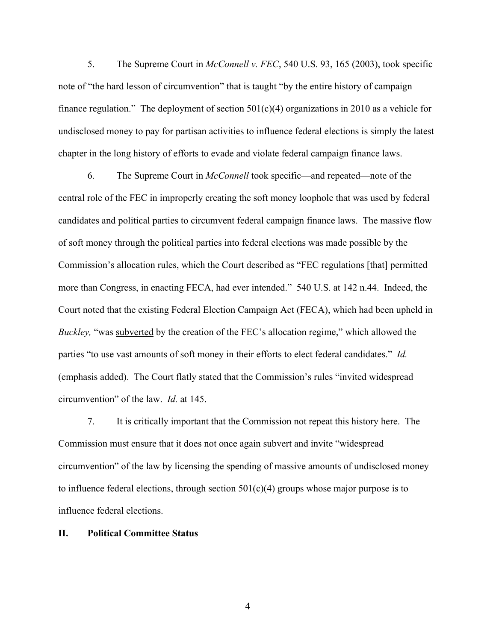5. The Supreme Court in *McConnell v. FEC*, 540 U.S. 93, 165 (2003), took specific note of "the hard lesson of circumvention" that is taught "by the entire history of campaign finance regulation." The deployment of section  $501(c)(4)$  organizations in 2010 as a vehicle for undisclosed money to pay for partisan activities to influence federal elections is simply the latest chapter in the long history of efforts to evade and violate federal campaign finance laws.

6. The Supreme Court in *McConnell* took specific—and repeated—note of the central role of the FEC in improperly creating the soft money loophole that was used by federal candidates and political parties to circumvent federal campaign finance laws. The massive flow of soft money through the political parties into federal elections was made possible by the Commission's allocation rules, which the Court described as "FEC regulations [that] permitted more than Congress, in enacting FECA, had ever intended." 540 U.S. at 142 n.44. Indeed, the Court noted that the existing Federal Election Campaign Act (FECA), which had been upheld in *Buckley*, "was subverted by the creation of the FEC's allocation regime," which allowed the parties "to use vast amounts of soft money in their efforts to elect federal candidates." *Id.*  (emphasis added). The Court flatly stated that the Commission's rules "invited widespread circumvention" of the law. *Id.* at 145.

7. It is critically important that the Commission not repeat this history here. The Commission must ensure that it does not once again subvert and invite "widespread circumvention" of the law by licensing the spending of massive amounts of undisclosed money to influence federal elections, through section  $501(c)(4)$  groups whose major purpose is to influence federal elections.

#### **II. Political Committee Status**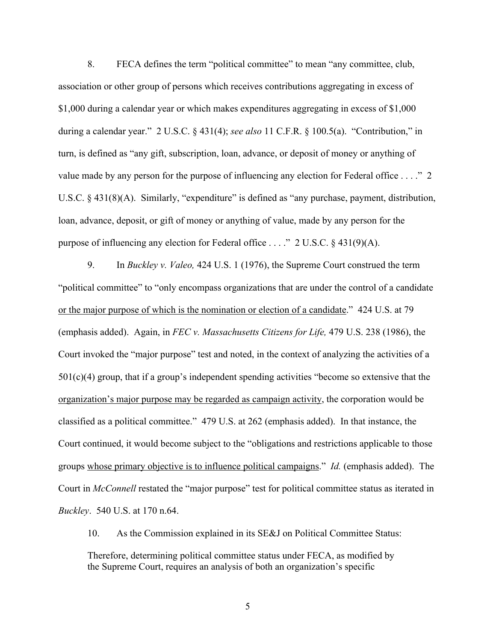8. FECA defines the term "political committee" to mean "any committee, club, association or other group of persons which receives contributions aggregating in excess of \$1,000 during a calendar year or which makes expenditures aggregating in excess of \$1,000 during a calendar year." 2 U.S.C. § 431(4); *see also* 11 C.F.R. § 100.5(a). "Contribution," in turn, is defined as "any gift, subscription, loan, advance, or deposit of money or anything of value made by any person for the purpose of influencing any election for Federal office . . . ." 2 U.S.C. § 431(8)(A). Similarly, "expenditure" is defined as "any purchase, payment, distribution, loan, advance, deposit, or gift of money or anything of value, made by any person for the purpose of influencing any election for Federal office . . . ." 2 U.S.C. § 431(9)(A).

9. In *Buckley v. Valeo,* 424 U.S. 1 (1976), the Supreme Court construed the term "political committee" to "only encompass organizations that are under the control of a candidate or the major purpose of which is the nomination or election of a candidate." 424 U.S. at 79 (emphasis added). Again, in *FEC v. Massachusetts Citizens for Life,* 479 U.S. 238 (1986), the Court invoked the "major purpose" test and noted, in the context of analyzing the activities of a  $501(c)(4)$  group, that if a group's independent spending activities "become so extensive that the organization's major purpose may be regarded as campaign activity, the corporation would be classified as a political committee." 479 U.S. at 262 (emphasis added). In that instance, the Court continued, it would become subject to the "obligations and restrictions applicable to those groups whose primary objective is to influence political campaigns." *Id.* (emphasis added). The Court in *McConnell* restated the "major purpose" test for political committee status as iterated in *Buckley*. 540 U.S. at 170 n.64.

10. As the Commission explained in its SE&J on Political Committee Status:

Therefore, determining political committee status under FECA, as modified by the Supreme Court, requires an analysis of both an organization's specific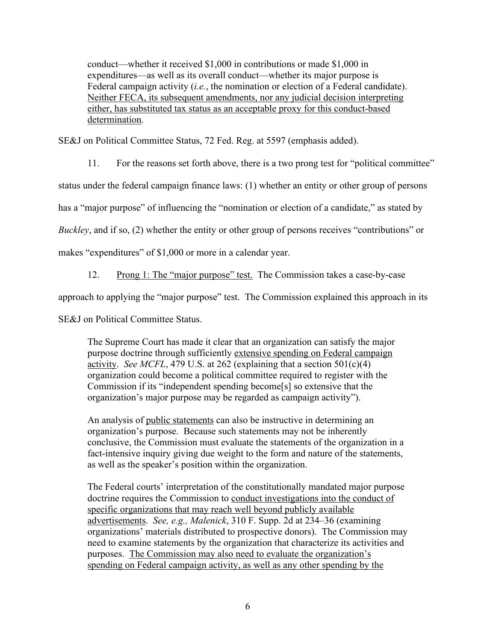conduct—whether it received \$1,000 in contributions or made \$1,000 in expenditures—as well as its overall conduct—whether its major purpose is Federal campaign activity (*i.e.*, the nomination or election of a Federal candidate). Neither FECA, its subsequent amendments, nor any judicial decision interpreting either, has substituted tax status as an acceptable proxy for this conduct-based determination.

SE&J on Political Committee Status, 72 Fed. Reg. at 5597 (emphasis added).

11. For the reasons set forth above, there is a two prong test for "political committee"

status under the federal campaign finance laws: (1) whether an entity or other group of persons

has a "major purpose" of influencing the "nomination or election of a candidate," as stated by

*Buckley*, and if so, (2) whether the entity or other group of persons receives "contributions" or

makes "expenditures" of \$1,000 or more in a calendar year.

12. Prong 1: The "major purpose" test. The Commission takes a case-by-case

approach to applying the "major purpose" test. The Commission explained this approach in its

SE&J on Political Committee Status.

The Supreme Court has made it clear that an organization can satisfy the major purpose doctrine through sufficiently extensive spending on Federal campaign activity. *See MCFL*, 479 U.S. at 262 (explaining that a section  $501(c)(4)$ ) organization could become a political committee required to register with the Commission if its "independent spending become[s] so extensive that the organization's major purpose may be regarded as campaign activity").

An analysis of public statements can also be instructive in determining an organization's purpose. Because such statements may not be inherently conclusive, the Commission must evaluate the statements of the organization in a fact-intensive inquiry giving due weight to the form and nature of the statements, as well as the speaker's position within the organization.

The Federal courts' interpretation of the constitutionally mandated major purpose doctrine requires the Commission to conduct investigations into the conduct of specific organizations that may reach well beyond publicly available advertisements. *See, e.g., Malenick*, 310 F. Supp. 2d at 234–36 (examining organizations' materials distributed to prospective donors). The Commission may need to examine statements by the organization that characterize its activities and purposes. The Commission may also need to evaluate the organization's spending on Federal campaign activity, as well as any other spending by the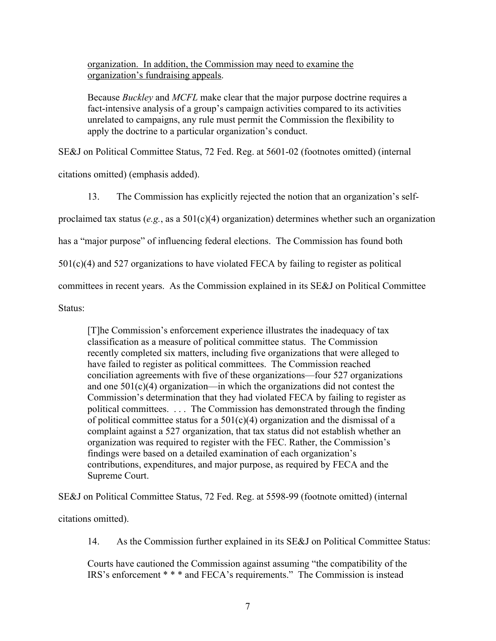organization. In addition, the Commission may need to examine the organization's fundraising appeals.

Because *Buckley* and *MCFL* make clear that the major purpose doctrine requires a fact-intensive analysis of a group's campaign activities compared to its activities unrelated to campaigns, any rule must permit the Commission the flexibility to apply the doctrine to a particular organization's conduct.

SE&J on Political Committee Status, 72 Fed. Reg. at 5601-02 (footnotes omitted) (internal

citations omitted) (emphasis added).

13. The Commission has explicitly rejected the notion that an organization's self-

proclaimed tax status (*e.g.*, as a 501(c)(4) organization) determines whether such an organization

has a "major purpose" of influencing federal elections. The Commission has found both

501(c)(4) and 527 organizations to have violated FECA by failing to register as political

committees in recent years. As the Commission explained in its SE&J on Political Committee

Status:

[T]he Commission's enforcement experience illustrates the inadequacy of tax classification as a measure of political committee status. The Commission recently completed six matters, including five organizations that were alleged to have failed to register as political committees. The Commission reached conciliation agreements with five of these organizations—four 527 organizations and one  $501(c)(4)$  organization—in which the organizations did not contest the Commission's determination that they had violated FECA by failing to register as political committees. . . . The Commission has demonstrated through the finding of political committee status for a  $501(c)(4)$  organization and the dismissal of a complaint against a 527 organization, that tax status did not establish whether an organization was required to register with the FEC. Rather, the Commission's findings were based on a detailed examination of each organization's contributions, expenditures, and major purpose, as required by FECA and the Supreme Court.

SE&J on Political Committee Status, 72 Fed. Reg. at 5598-99 (footnote omitted) (internal

citations omitted).

14. As the Commission further explained in its SE&J on Political Committee Status:

Courts have cautioned the Commission against assuming "the compatibility of the IRS's enforcement \* \* \* and FECA's requirements." The Commission is instead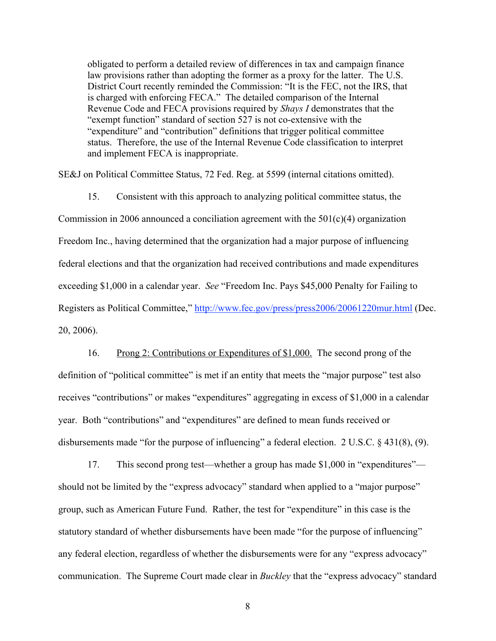obligated to perform a detailed review of differences in tax and campaign finance law provisions rather than adopting the former as a proxy for the latter. The U.S. District Court recently reminded the Commission: "It is the FEC, not the IRS, that is charged with enforcing FECA." The detailed comparison of the Internal Revenue Code and FECA provisions required by *Shays I* demonstrates that the "exempt function" standard of section 527 is not co-extensive with the "expenditure" and "contribution" definitions that trigger political committee status. Therefore, the use of the Internal Revenue Code classification to interpret and implement FECA is inappropriate.

SE&J on Political Committee Status, 72 Fed. Reg. at 5599 (internal citations omitted).

15. Consistent with this approach to analyzing political committee status, the Commission in 2006 announced a conciliation agreement with the 501(c)(4) organization Freedom Inc., having determined that the organization had a major purpose of influencing federal elections and that the organization had received contributions and made expenditures exceeding \$1,000 in a calendar year. *See* "Freedom Inc. Pays \$45,000 Penalty for Failing to Registers as Political Committee," http://www.fec.gov/press/press2006/20061220mur.html (Dec. 20, 2006).

16. Prong 2: Contributions or Expenditures of \$1,000. The second prong of the definition of "political committee" is met if an entity that meets the "major purpose" test also receives "contributions" or makes "expenditures" aggregating in excess of \$1,000 in a calendar year. Both "contributions" and "expenditures" are defined to mean funds received or disbursements made "for the purpose of influencing" a federal election. 2 U.S.C. § 431(8), (9).

17. This second prong test—whether a group has made \$1,000 in "expenditures" should not be limited by the "express advocacy" standard when applied to a "major purpose" group, such as American Future Fund. Rather, the test for "expenditure" in this case is the statutory standard of whether disbursements have been made "for the purpose of influencing" any federal election, regardless of whether the disbursements were for any "express advocacy" communication. The Supreme Court made clear in *Buckley* that the "express advocacy" standard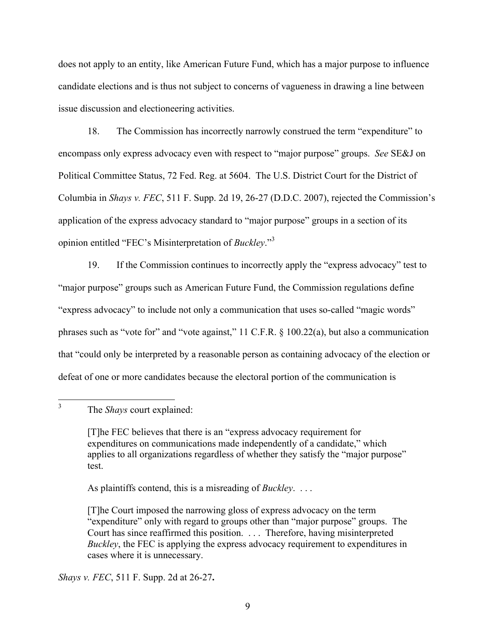does not apply to an entity, like American Future Fund, which has a major purpose to influence candidate elections and is thus not subject to concerns of vagueness in drawing a line between issue discussion and electioneering activities.

18. The Commission has incorrectly narrowly construed the term "expenditure" to encompass only express advocacy even with respect to "major purpose" groups. *See* SE&J on Political Committee Status, 72 Fed. Reg. at 5604. The U.S. District Court for the District of Columbia in *Shays v. FEC*, 511 F. Supp. 2d 19, 26-27 (D.D.C. 2007), rejected the Commission's application of the express advocacy standard to "major purpose" groups in a section of its opinion entitled "FEC's Misinterpretation of *Buckley*."<sup>3</sup>

19. If the Commission continues to incorrectly apply the "express advocacy" test to "major purpose" groups such as American Future Fund, the Commission regulations define "express advocacy" to include not only a communication that uses so-called "magic words" phrases such as "vote for" and "vote against," 11 C.F.R. § 100.22(a), but also a communication that "could only be interpreted by a reasonable person as containing advocacy of the election or defeat of one or more candidates because the electoral portion of the communication is

As plaintiffs contend, this is a misreading of *Buckley*. . . .

*Shays v. FEC*, 511 F. Supp. 2d at 26-27**.**

 <sup>3</sup> The *Shays* court explained:

<sup>[</sup>T]he FEC believes that there is an "express advocacy requirement for expenditures on communications made independently of a candidate," which applies to all organizations regardless of whether they satisfy the "major purpose" test.

<sup>[</sup>T]he Court imposed the narrowing gloss of express advocacy on the term "expenditure" only with regard to groups other than "major purpose" groups. The Court has since reaffirmed this position. . . . Therefore, having misinterpreted *Buckley*, the FEC is applying the express advocacy requirement to expenditures in cases where it is unnecessary.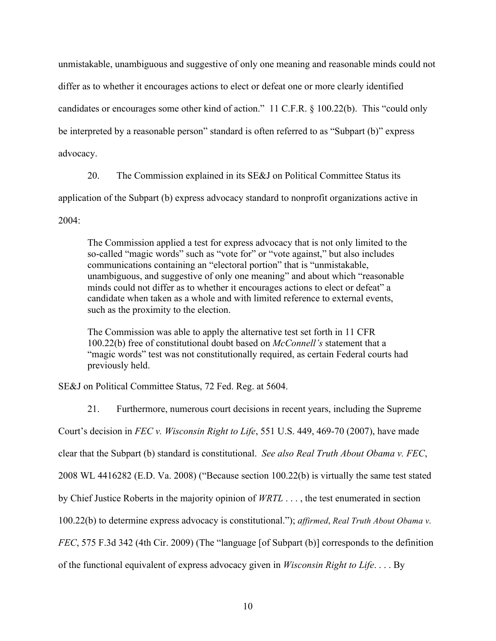unmistakable, unambiguous and suggestive of only one meaning and reasonable minds could not differ as to whether it encourages actions to elect or defeat one or more clearly identified candidates or encourages some other kind of action." 11 C.F.R. § 100.22(b). This "could only be interpreted by a reasonable person" standard is often referred to as "Subpart (b)" express advocacy.

20. The Commission explained in its SE&J on Political Committee Status its

application of the Subpart (b) express advocacy standard to nonprofit organizations active in

 $2004 -$ 

The Commission applied a test for express advocacy that is not only limited to the so-called "magic words" such as "vote for" or "vote against," but also includes communications containing an "electoral portion" that is "unmistakable, unambiguous, and suggestive of only one meaning" and about which "reasonable minds could not differ as to whether it encourages actions to elect or defeat" a candidate when taken as a whole and with limited reference to external events, such as the proximity to the election.

The Commission was able to apply the alternative test set forth in 11 CFR 100.22(b) free of constitutional doubt based on *McConnell's* statement that a "magic words" test was not constitutionally required, as certain Federal courts had previously held.

SE&J on Political Committee Status, 72 Fed. Reg. at 5604.

21. Furthermore, numerous court decisions in recent years, including the Supreme Court's decision in *FEC v. Wisconsin Right to Life*, 551 U.S. 449, 469-70 (2007), have made clear that the Subpart (b) standard is constitutional. *See also Real Truth About Obama v. FEC*, 2008 WL 4416282 (E.D. Va. 2008) ("Because section 100.22(b) is virtually the same test stated by Chief Justice Roberts in the majority opinion of *WRTL* . . . , the test enumerated in section 100.22(b) to determine express advocacy is constitutional."); *affirmed*, *Real Truth About Obama v. FEC*, 575 F.3d 342 (4th Cir. 2009) (The "language [of Subpart (b)] corresponds to the definition of the functional equivalent of express advocacy given in *Wisconsin Right to Life*. . . . By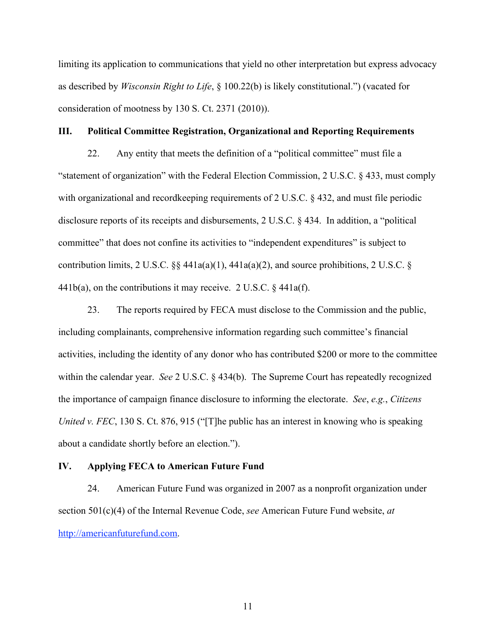limiting its application to communications that yield no other interpretation but express advocacy as described by *Wisconsin Right to Life*, § 100.22(b) is likely constitutional.") (vacated for consideration of mootness by 130 S. Ct. 2371 (2010)).

#### **III. Political Committee Registration, Organizational and Reporting Requirements**

22. Any entity that meets the definition of a "political committee" must file a "statement of organization" with the Federal Election Commission, 2 U.S.C. § 433, must comply with organizational and recordkeeping requirements of 2 U.S.C. § 432, and must file periodic disclosure reports of its receipts and disbursements, 2 U.S.C. § 434. In addition, a "political committee" that does not confine its activities to "independent expenditures" is subject to contribution limits, 2 U.S.C.  $\S$  441a(a)(1), 441a(a)(2), and source prohibitions, 2 U.S.C.  $\S$ 441b(a), on the contributions it may receive. 2 U.S.C.  $\S$  441a(f).

23. The reports required by FECA must disclose to the Commission and the public, including complainants, comprehensive information regarding such committee's financial activities, including the identity of any donor who has contributed \$200 or more to the committee within the calendar year. *See* 2 U.S.C. § 434(b). The Supreme Court has repeatedly recognized the importance of campaign finance disclosure to informing the electorate. *See*, *e.g.*, *Citizens United v. FEC*, 130 S. Ct. 876, 915 ("[T]he public has an interest in knowing who is speaking about a candidate shortly before an election.").

#### **IV. Applying FECA to American Future Fund**

24. American Future Fund was organized in 2007 as a nonprofit organization under section 501(c)(4) of the Internal Revenue Code, *see* American Future Fund website, *at*  http://americanfuturefund.com.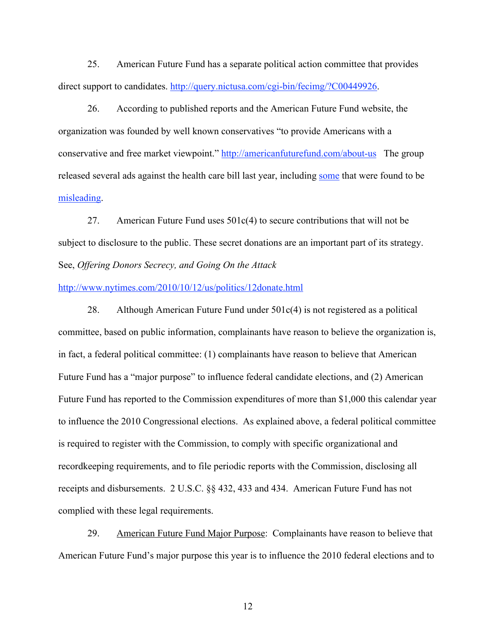25. American Future Fund has a separate political action committee that provides direct support to candidates. http://query.nictusa.com/cgi-bin/fecimg/?C00449926.

26. According to published reports and the American Future Fund website, the organization was founded by well known conservatives "to provide Americans with a conservative and free market viewpoint." http://americanfuturefund.com/about-us The group released several ads against the health care bill last year, including some that were found to be misleading.

27. American Future Fund uses 501c(4) to secure contributions that will not be subject to disclosure to the public. These secret donations are an important part of its strategy. See, *Offering Donors Secrecy, and Going On the Attack* 

#### http://www.nytimes.com/2010/10/12/us/politics/12donate.html

28. Although American Future Fund under 501c(4) is not registered as a political committee, based on public information, complainants have reason to believe the organization is, in fact, a federal political committee: (1) complainants have reason to believe that American Future Fund has a "major purpose" to influence federal candidate elections, and (2) American Future Fund has reported to the Commission expenditures of more than \$1,000 this calendar year to influence the 2010 Congressional elections. As explained above, a federal political committee is required to register with the Commission, to comply with specific organizational and recordkeeping requirements, and to file periodic reports with the Commission, disclosing all receipts and disbursements. 2 U.S.C. §§ 432, 433 and 434. American Future Fund has not complied with these legal requirements.

29. American Future Fund Major Purpose: Complainants have reason to believe that American Future Fund's major purpose this year is to influence the 2010 federal elections and to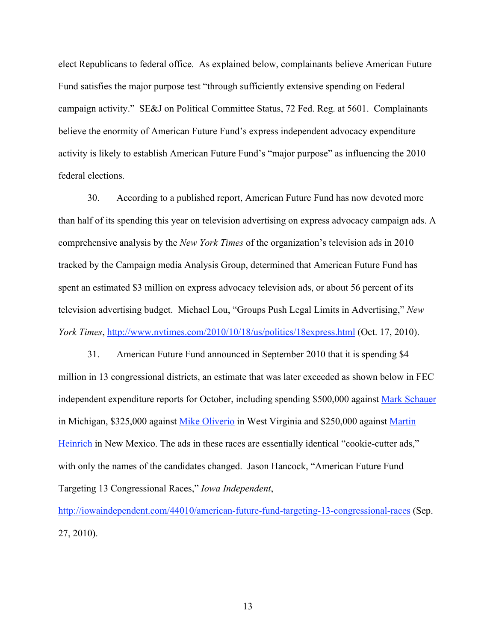elect Republicans to federal office. As explained below, complainants believe American Future Fund satisfies the major purpose test "through sufficiently extensive spending on Federal campaign activity." SE&J on Political Committee Status, 72 Fed. Reg. at 5601. Complainants believe the enormity of American Future Fund's express independent advocacy expenditure activity is likely to establish American Future Fund's "major purpose" as influencing the 2010 federal elections.

30. According to a published report, American Future Fund has now devoted more than half of its spending this year on television advertising on express advocacy campaign ads. A comprehensive analysis by the *New York Times* of the organization's television ads in 2010 tracked by the Campaign media Analysis Group, determined that American Future Fund has spent an estimated \$3 million on express advocacy television ads, or about 56 percent of its television advertising budget. Michael Lou, "Groups Push Legal Limits in Advertising," *New York Times*, http://www.nytimes.com/2010/10/18/us/politics/18express.html (Oct. 17, 2010).

31. American Future Fund announced in September 2010 that it is spending \$4 million in 13 congressional districts, an estimate that was later exceeded as shown below in FEC independent expenditure reports for October, including spending \$500,000 against Mark Schauer in Michigan, \$325,000 against Mike Oliverio in West Virginia and \$250,000 against Martin Heinrich in New Mexico. The ads in these races are essentially identical "cookie-cutter ads," with only the names of the candidates changed. Jason Hancock, "American Future Fund Targeting 13 Congressional Races," *Iowa Independent*,

http://iowaindependent.com/44010/american-future-fund-targeting-13-congressional-races (Sep. 27, 2010).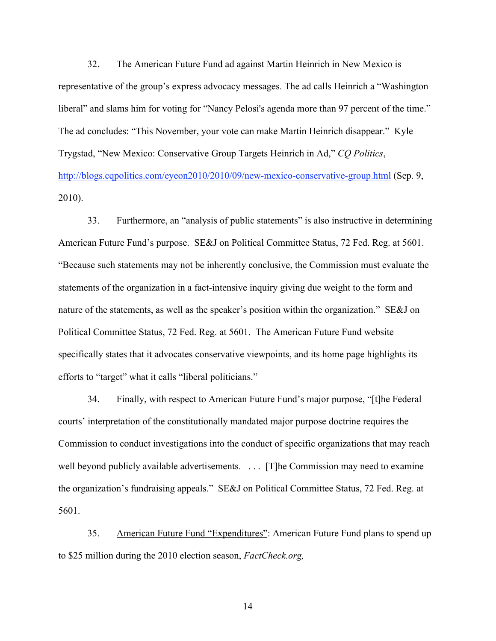32. The American Future Fund ad against Martin Heinrich in New Mexico is representative of the group's express advocacy messages. The ad calls Heinrich a "Washington liberal" and slams him for voting for "Nancy Pelosi's agenda more than 97 percent of the time." The ad concludes: "This November, your vote can make Martin Heinrich disappear." Kyle Trygstad, "New Mexico: Conservative Group Targets Heinrich in Ad," *CQ Politics*, http://blogs.cqpolitics.com/eyeon2010/2010/09/new-mexico-conservative-group.html (Sep. 9, 2010).

33. Furthermore, an "analysis of public statements" is also instructive in determining American Future Fund's purpose. SE&J on Political Committee Status, 72 Fed. Reg. at 5601. "Because such statements may not be inherently conclusive, the Commission must evaluate the statements of the organization in a fact-intensive inquiry giving due weight to the form and nature of the statements, as well as the speaker's position within the organization." SE&J on Political Committee Status, 72 Fed. Reg. at 5601. The American Future Fund website specifically states that it advocates conservative viewpoints, and its home page highlights its efforts to "target" what it calls "liberal politicians."

34. Finally, with respect to American Future Fund's major purpose, "[t]he Federal courts' interpretation of the constitutionally mandated major purpose doctrine requires the Commission to conduct investigations into the conduct of specific organizations that may reach well beyond publicly available advertisements. . . . [T]he Commission may need to examine the organization's fundraising appeals." SE&J on Political Committee Status, 72 Fed. Reg. at 5601.

35. American Future Fund "Expenditures": American Future Fund plans to spend up to \$25 million during the 2010 election season, *FactCheck.org,*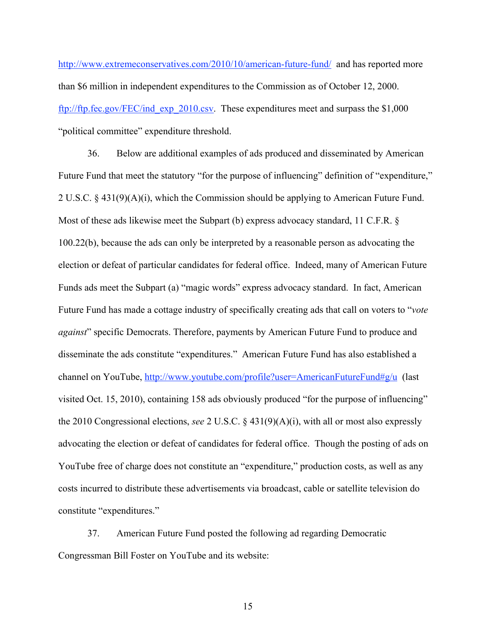http://www.extremeconservatives.com/2010/10/american-future-fund/ and has reported more than \$6 million in independent expenditures to the Commission as of October 12, 2000. ftp://ftp.fec.gov/FEC/ind\_exp\_2010.csv. These expenditures meet and surpass the \$1,000 "political committee" expenditure threshold.

36. Below are additional examples of ads produced and disseminated by American Future Fund that meet the statutory "for the purpose of influencing" definition of "expenditure," 2 U.S.C. § 431(9)(A)(i), which the Commission should be applying to American Future Fund. Most of these ads likewise meet the Subpart (b) express advocacy standard, 11 C.F.R. § 100.22(b), because the ads can only be interpreted by a reasonable person as advocating the election or defeat of particular candidates for federal office. Indeed, many of American Future Funds ads meet the Subpart (a) "magic words" express advocacy standard. In fact, American Future Fund has made a cottage industry of specifically creating ads that call on voters to "*vote against*" specific Democrats. Therefore, payments by American Future Fund to produce and disseminate the ads constitute "expenditures." American Future Fund has also established a channel on YouTube, http://www.youtube.com/profile?user=AmericanFutureFund#g/u (last visited Oct. 15, 2010), containing 158 ads obviously produced "for the purpose of influencing" the 2010 Congressional elections, *see* 2 U.S.C. § 431(9)(A)(i), with all or most also expressly advocating the election or defeat of candidates for federal office. Though the posting of ads on YouTube free of charge does not constitute an "expenditure," production costs, as well as any costs incurred to distribute these advertisements via broadcast, cable or satellite television do constitute "expenditures."

37. American Future Fund posted the following ad regarding Democratic Congressman Bill Foster on YouTube and its website: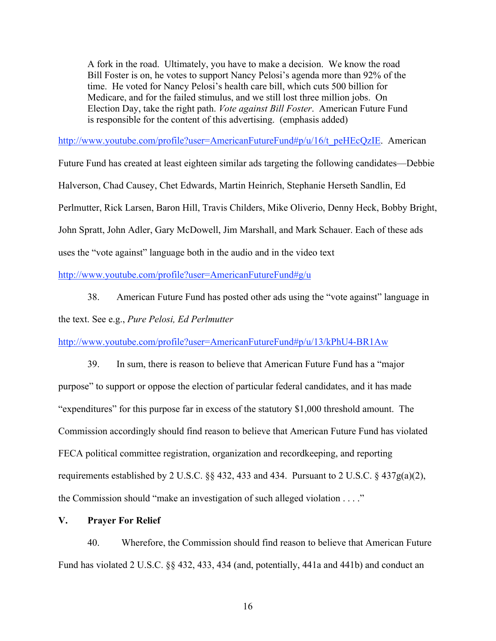A fork in the road. Ultimately, you have to make a decision. We know the road Bill Foster is on, he votes to support Nancy Pelosi's agenda more than 92% of the time. He voted for Nancy Pelosi's health care bill, which cuts 500 billion for Medicare, and for the failed stimulus, and we still lost three million jobs. On Election Day, take the right path. *Vote against Bill Foster*. American Future Fund is responsible for the content of this advertising. (emphasis added)

http://www.youtube.com/profile?user=AmericanFutureFund#p/u/16/t\_peHEcQzIE. American

Future Fund has created at least eighteen similar ads targeting the following candidates—Debbie Halverson, Chad Causey, Chet Edwards, Martin Heinrich, Stephanie Herseth Sandlin, Ed Perlmutter, Rick Larsen, Baron Hill, Travis Childers, Mike Oliverio, Denny Heck, Bobby Bright, John Spratt, John Adler, Gary McDowell, Jim Marshall, and Mark Schauer. Each of these ads uses the "vote against" language both in the audio and in the video text

http://www.youtube.com/profile?user=AmericanFutureFund#g/u

38. American Future Fund has posted other ads using the "vote against" language in

the text. See e.g., *Pure Pelosi, Ed Perlmutter* 

http://www.youtube.com/profile?user=AmericanFutureFund#p/u/13/kPhU4-BR1Aw

- 39. In sum, there is reason to believe that American Future Fund has a "major purpose" to support or oppose the election of particular federal candidates, and it has made "expenditures" for this purpose far in excess of the statutory \$1,000 threshold amount. The Commission accordingly should find reason to believe that American Future Fund has violated FECA political committee registration, organization and recordkeeping, and reporting requirements established by 2 U.S.C.  $\S$  432, 433 and 434. Pursuant to 2 U.S.C.  $\S$  437g(a)(2), the Commission should "make an investigation of such alleged violation . . . ."
- **V. Prayer For Relief**

40. Wherefore, the Commission should find reason to believe that American Future Fund has violated 2 U.S.C. §§ 432, 433, 434 (and, potentially, 441a and 441b) and conduct an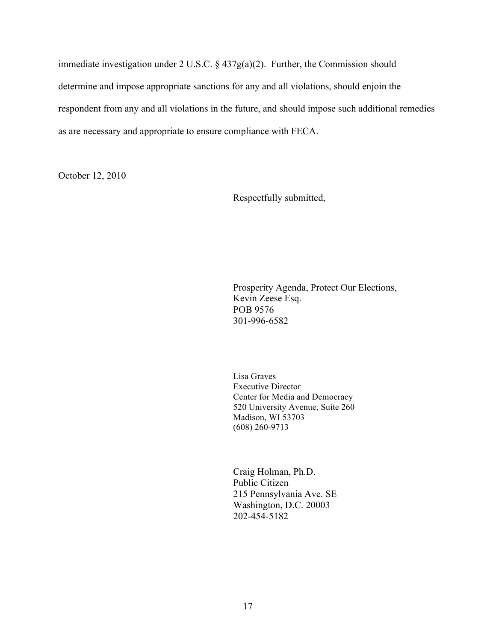immediate investigation under 2 U.S.C. § 437g(a)(2). Further, the Commission should determine and impose appropriate sanctions for any and all violations, should enjoin the respondent from any and all violations in the future, and should impose such additional remedies as are necessary and appropriate to ensure compliance with FECA.

October 12, 2010

Respectfully submitted,

Prosperity Agenda, Protect Our Elections, Kevin Zeese Esq. POB 9576 301-996-6582

Lisa Graves Executive Director Center for Media and Democracy 520 University Avenue, Suite 260 Madison, WI 53703 (608) 260-9713

Craig Holman, Ph.D. Public Citizen 215 Pennsylvania Ave. SE Washington, D.C. 20003 202-454-5182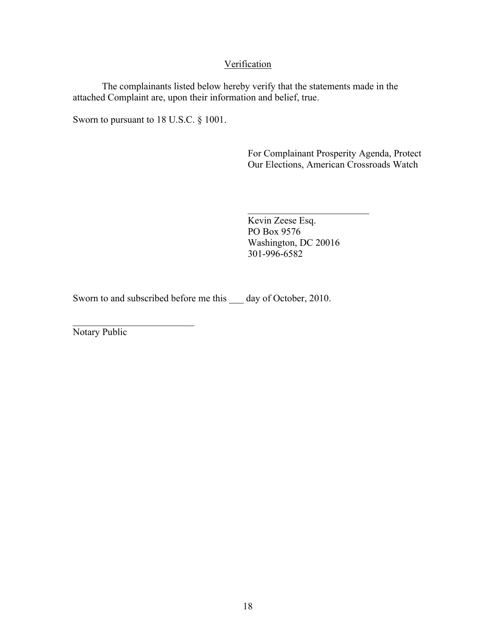# Verification

The complainants listed below hereby verify that the statements made in the attached Complaint are, upon their information and belief, true.

Sworn to pursuant to 18 U.S.C. § 1001.

For Complainant Prosperity Agenda, Protect Our Elections, American Crossroads Watch

Kevin Zeese Esq. PO Box 9576 Washington, DC 20016 301-996-6582

 $\mathcal{L}_\text{max}$ 

Sworn to and subscribed before me this \_\_\_ day of October, 2010.

 $\mathcal{L}_\text{max}$ Notary Public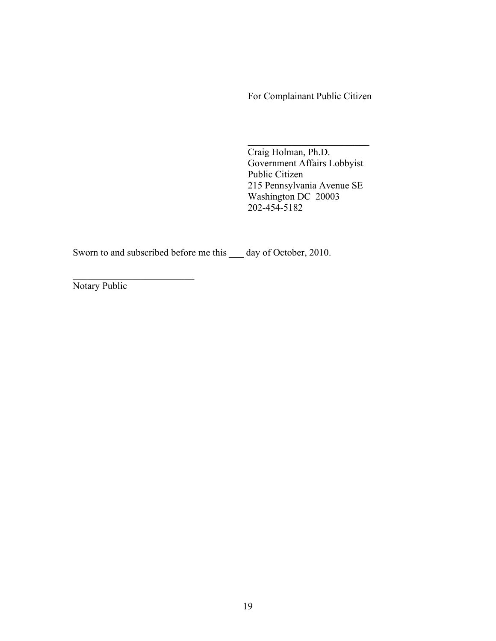For Complainant Public Citizen

Craig Holman, Ph.D. Government Affairs Lobbyist Public Citizen 215 Pennsylvania Avenue SE Washington DC 20003 202-454-5182

 $\mathcal{L}_\text{max}$  , where  $\mathcal{L}_\text{max}$  , we have the set of the set of the set of the set of the set of the set of the set of the set of the set of the set of the set of the set of the set of the set of the set of the set of

Sworn to and subscribed before me this \_\_\_ day of October, 2010.

Notary Public

 $\mathcal{L}_\text{max}$  , where  $\mathcal{L}_\text{max}$  , we have the set of the set of the set of the set of the set of the set of the set of the set of the set of the set of the set of the set of the set of the set of the set of the set of